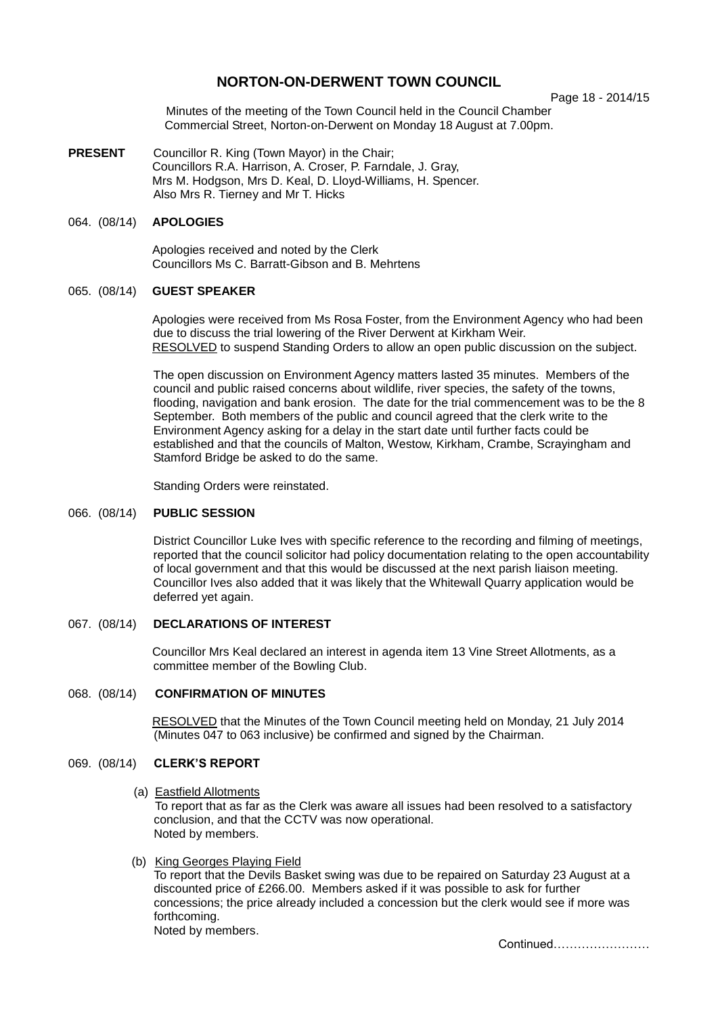# **NORTON-ON-DERWENT TOWN COUNCIL**

Page 18 - 2014/15

Minutes of the meeting of the Town Council held in the Council Chamber Commercial Street, Norton-on-Derwent on Monday 18 August at 7.00pm.

**PRESENT** Councillor R. King (Town Mayor) in the Chair; Councillors R.A. Harrison, A. Croser, P. Farndale, J. Gray, Mrs M. Hodgson, Mrs D. Keal, D. Lloyd-Williams, H. Spencer. Also Mrs R. Tierney and Mr T. Hicks

## 064. (08/14) **APOLOGIES**

 Apologies received and noted by the Clerk Councillors Ms C. Barratt-Gibson and B. Mehrtens

#### 065. (08/14) **GUEST SPEAKER**

Apologies were received from Ms Rosa Foster, from the Environment Agency who had been due to discuss the trial lowering of the River Derwent at Kirkham Weir. RESOLVED to suspend Standing Orders to allow an open public discussion on the subject.

The open discussion on Environment Agency matters lasted 35 minutes. Members of the council and public raised concerns about wildlife, river species, the safety of the towns, flooding, navigation and bank erosion. The date for the trial commencement was to be the 8 September. Both members of the public and council agreed that the clerk write to the Environment Agency asking for a delay in the start date until further facts could be established and that the councils of Malton, Westow, Kirkham, Crambe, Scrayingham and Stamford Bridge be asked to do the same.

Standing Orders were reinstated.

#### 066. (08/14) **PUBLIC SESSION**

District Councillor Luke Ives with specific reference to the recording and filming of meetings, reported that the council solicitor had policy documentation relating to the open accountability of local government and that this would be discussed at the next parish liaison meeting. Councillor Ives also added that it was likely that the Whitewall Quarry application would be deferred yet again.

# 067. (08/14) **DECLARATIONS OF INTEREST**

 Councillor Mrs Keal declared an interest in agenda item 13 Vine Street Allotments, as a committee member of the Bowling Club.

# 068. (08/14) **CONFIRMATION OF MINUTES**

RESOLVED that the Minutes of the Town Council meeting held on Monday, 21 July 2014 (Minutes 047 to 063 inclusive) be confirmed and signed by the Chairman.

# 069. (08/14) **CLERK'S REPORT**

(a) Eastfield Allotments

To report that as far as the Clerk was aware all issues had been resolved to a satisfactory conclusion, and that the CCTV was now operational. Noted by members.

(b) King Georges Playing Field

To report that the Devils Basket swing was due to be repaired on Saturday 23 August at a discounted price of £266.00. Members asked if it was possible to ask for further concessions; the price already included a concession but the clerk would see if more was forthcoming.

Noted by members.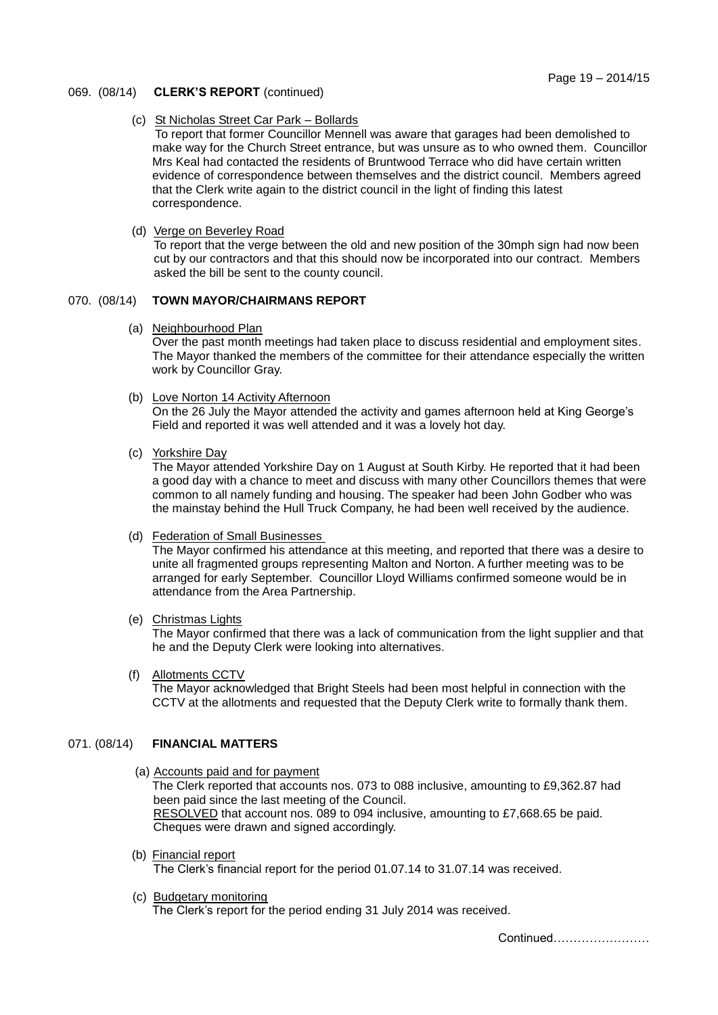#### 069. (08/14) **CLERK'S REPORT** (continued)

#### (c) St Nicholas Street Car Park – Bollards

To report that former Councillor Mennell was aware that garages had been demolished to make way for the Church Street entrance, but was unsure as to who owned them. Councillor Mrs Keal had contacted the residents of Bruntwood Terrace who did have certain written evidence of correspondence between themselves and the district council. Members agreed that the Clerk write again to the district council in the light of finding this latest correspondence.

(d) Verge on Beverley Road

To report that the verge between the old and new position of the 30mph sign had now been cut by our contractors and that this should now be incorporated into our contract. Members asked the bill be sent to the county council.

# 070. (08/14) **TOWN MAYOR/CHAIRMANS REPORT**

(a) Neighbourhood Plan

Over the past month meetings had taken place to discuss residential and employment sites. The Mayor thanked the members of the committee for their attendance especially the written work by Councillor Gray.

(b) Love Norton 14 Activity Afternoon

On the 26 July the Mayor attended the activity and games afternoon held at King George's Field and reported it was well attended and it was a lovely hot day.

(c) Yorkshire Day

The Mayor attended Yorkshire Day on 1 August at South Kirby. He reported that it had been a good day with a chance to meet and discuss with many other Councillors themes that were common to all namely funding and housing. The speaker had been John Godber who was the mainstay behind the Hull Truck Company, he had been well received by the audience.

(d) Federation of Small Businesses

The Mayor confirmed his attendance at this meeting, and reported that there was a desire to unite all fragmented groups representing Malton and Norton. A further meeting was to be arranged for early September. Councillor Lloyd Williams confirmed someone would be in attendance from the Area Partnership.

(e) Christmas Lights

The Mayor confirmed that there was a lack of communication from the light supplier and that he and the Deputy Clerk were looking into alternatives.

 (f) Allotments CCTV The Mayor acknowledged that Bright Steels had been most helpful in connection with the CCTV at the allotments and requested that the Deputy Clerk write to formally thank them.

# 071. (08/14) **FINANCIAL MATTERS**

- (a) Accounts paid and for payment The Clerk reported that accounts nos. 073 to 088 inclusive, amounting to £9,362.87 had been paid since the last meeting of the Council. RESOLVED that account nos. 089 to 094 inclusive, amounting to £7,668.65 be paid. Cheques were drawn and signed accordingly.
- (b) Financial report

The Clerk's financial report for the period 01.07.14 to 31.07.14 was received.

(c) Budgetary monitoring

The Clerk's report for the period ending 31 July 2014 was received.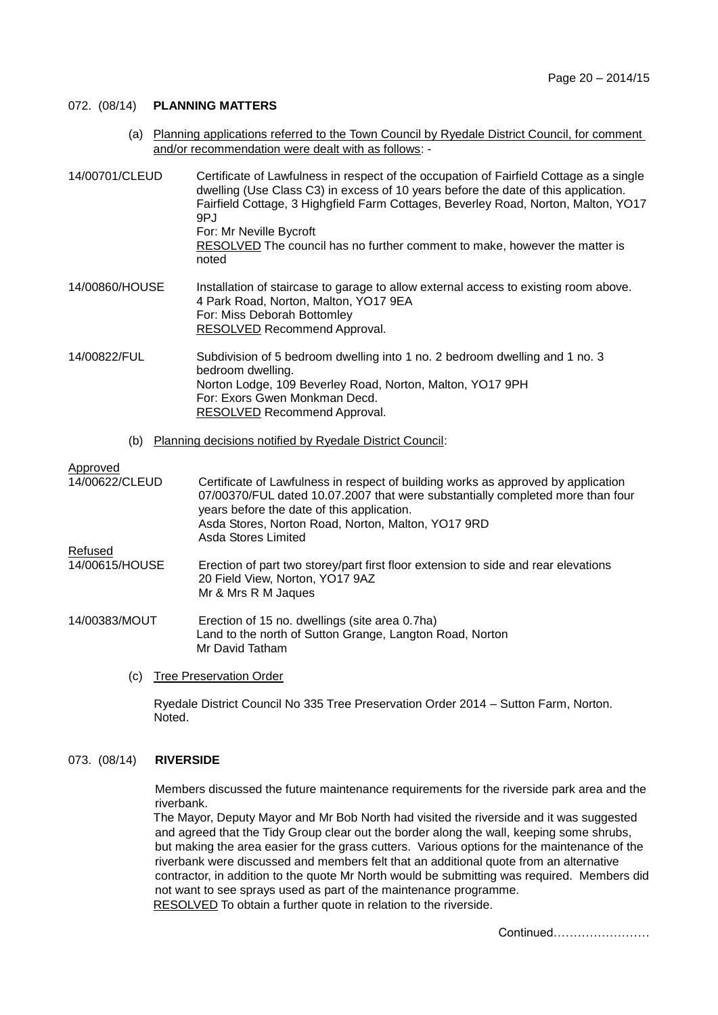#### 072. (08/14) **PLANNING MATTERS**

 (a) Planning applications referred to the Town Council by Ryedale District Council, for comment and/or recommendation were dealt with as follows: -

| 14/00701/CLEUD | Certificate of Lawfulness in respect of the occupation of Fairfield Cottage as a single<br>dwelling (Use Class C3) in excess of 10 years before the date of this application.<br>Fairfield Cottage, 3 Highgfield Farm Cottages, Beverley Road, Norton, Malton, YO17<br>9PJ<br>For: Mr Neville Bycroft<br>RESOLVED The council has no further comment to make, however the matter is<br>noted |
|----------------|----------------------------------------------------------------------------------------------------------------------------------------------------------------------------------------------------------------------------------------------------------------------------------------------------------------------------------------------------------------------------------------------|
| 14/00860/HOUSE | Installation of staircase to garage to allow external access to existing room above.<br>4 Park Road, Norton, Malton, YO17 9EA<br>For: Miss Deborah Bottomley<br>RESOLVED Recommend Approval.                                                                                                                                                                                                 |
| 14/00822/FUL   | Subdivision of 5 bedroom dwelling into 1 no. 2 bedroom dwelling and 1 no. 3<br>bedroom dwelling.<br>Norton Lodge, 109 Beverley Road, Norton, Malton, YO17 9PH<br>For: Exors Gwen Monkman Decd.<br>RESOLVED Recommend Approval.                                                                                                                                                               |

(b) Planning decisions notified by Ryedale District Council:

Approved<br>14/00622/CLEUD Certificate of Lawfulness in respect of building works as approved by application 07/00370/FUL dated 10.07.2007 that were substantially completed more than four years before the date of this application. Asda Stores, Norton Road, Norton, Malton, YO17 9RD Asda Stores Limited Refused 14/00615/HOUSE Erection of part two storey/part first floor extension to side and rear elevations 20 Field View, Norton, YO17 9AZ Mr & Mrs R M Jaques

- 14/00383/MOUT Erection of 15 no. dwellings (site area 0.7ha) Land to the north of Sutton Grange, Langton Road, Norton Mr David Tatham
	- (c) Tree Preservation Order

Ryedale District Council No 335 Tree Preservation Order 2014 – Sutton Farm, Norton. Noted.

## 073. (08/14) **RIVERSIDE**

Members discussed the future maintenance requirements for the riverside park area and the riverbank.

The Mayor, Deputy Mayor and Mr Bob North had visited the riverside and it was suggested and agreed that the Tidy Group clear out the border along the wall, keeping some shrubs, but making the area easier for the grass cutters. Various options for the maintenance of the riverbank were discussed and members felt that an additional quote from an alternative contractor, in addition to the quote Mr North would be submitting was required. Members did not want to see sprays used as part of the maintenance programme. RESOLVED To obtain a further quote in relation to the riverside.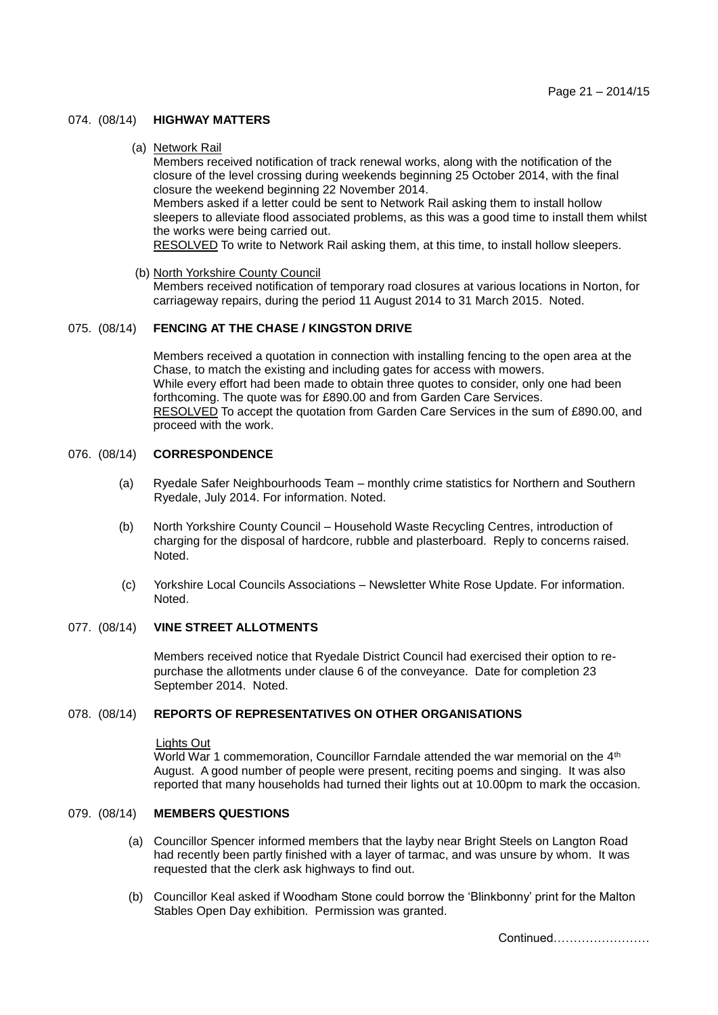## 074. (08/14) **HIGHWAY MATTERS**

(a) Network Rail

Members received notification of track renewal works, along with the notification of the closure of the level crossing during weekends beginning 25 October 2014, with the final closure the weekend beginning 22 November 2014.

Members asked if a letter could be sent to Network Rail asking them to install hollow sleepers to alleviate flood associated problems, as this was a good time to install them whilst the works were being carried out.

RESOLVED To write to Network Rail asking them, at this time, to install hollow sleepers.

(b) North Yorkshire County Council

Members received notification of temporary road closures at various locations in Norton, for carriageway repairs, during the period 11 August 2014 to 31 March 2015. Noted.

# 075. (08/14) **FENCING AT THE CHASE / KINGSTON DRIVE**

Members received a quotation in connection with installing fencing to the open area at the Chase, to match the existing and including gates for access with mowers. While every effort had been made to obtain three quotes to consider, only one had been forthcoming. The quote was for £890.00 and from Garden Care Services. RESOLVED To accept the quotation from Garden Care Services in the sum of £890.00, and proceed with the work.

# 076. (08/14) **CORRESPONDENCE**

- (a) Ryedale Safer Neighbourhoods Team monthly crime statistics for Northern and Southern Ryedale, July 2014. For information. Noted.
- (b) North Yorkshire County Council Household Waste Recycling Centres, introduction of charging for the disposal of hardcore, rubble and plasterboard. Reply to concerns raised. Noted.
- (c) Yorkshire Local Councils Associations Newsletter White Rose Update. For information. Noted.

# 077. (08/14) **VINE STREET ALLOTMENTS**

Members received notice that Ryedale District Council had exercised their option to repurchase the allotments under clause 6 of the conveyance. Date for completion 23 September 2014. Noted.

#### 078. (08/14) **REPORTS OF REPRESENTATIVES ON OTHER ORGANISATIONS**

#### Lights Out

World War 1 commemoration, Councillor Farndale attended the war memorial on the 4<sup>th</sup> August. A good number of people were present, reciting poems and singing. It was also reported that many households had turned their lights out at 10.00pm to mark the occasion.

# 079. (08/14) **MEMBERS QUESTIONS**

- (a) Councillor Spencer informed members that the layby near Bright Steels on Langton Road had recently been partly finished with a layer of tarmac, and was unsure by whom. It was requested that the clerk ask highways to find out.
- (b) Councillor Keal asked if Woodham Stone could borrow the 'Blinkbonny' print for the Malton Stables Open Day exhibition. Permission was granted.